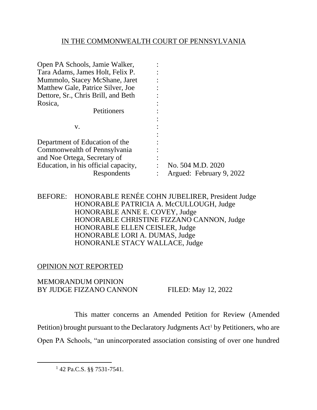# IN THE COMMONWEALTH COURT OF PENNSYLVANIA

| Open PA Schools, Jamie Walker,       |                          |
|--------------------------------------|--------------------------|
| Tara Adams, James Holt, Felix P.     |                          |
| Mummolo, Stacey McShane, Jaret       |                          |
| Matthew Gale, Patrice Silver, Joe    |                          |
| Dettore, Sr., Chris Brill, and Beth  |                          |
| Rosica,                              |                          |
| Petitioners                          |                          |
|                                      |                          |
| V.                                   |                          |
|                                      |                          |
| Department of Education of the       |                          |
| Commonwealth of Pennsylvania         |                          |
| and Noe Ortega, Secretary of         |                          |
| Education, in his official capacity, | No. 504 M.D. 2020        |
| Respondents                          | Argued: February 9, 2022 |

## BEFORE: HONORABLE RENÉE COHN JUBELIRER, President Judge HONORABLE PATRICIA A. McCULLOUGH, Judge HONORABLE ANNE E. COVEY, Judge HONORABLE CHRISTINE FIZZANO CANNON, Judge HONORABLE ELLEN CEISLER, Judge HONORABLE LORI A. DUMAS, Judge HONORANLE STACY WALLACE, Judge

# OPINION NOT REPORTED

## MEMORANDUM OPINION BY JUDGE FIZZANO CANNON FILED: May 12, 2022

This matter concerns an Amended Petition for Review (Amended Petition) brought pursuant to the Declaratory Judgments Act<sup>1</sup> by Petitioners, who are Open PA Schools, "an unincorporated association consisting of over one hundred

<sup>1</sup> 42 Pa.C.S. §§ 7531-7541.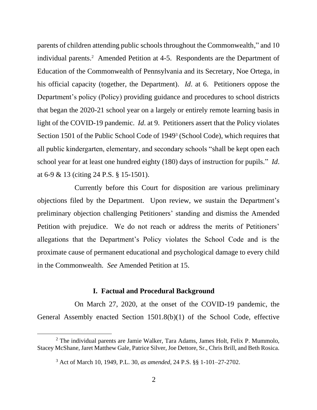parents of children attending public schools throughout the Commonwealth," and 10 individual parents.<sup>2</sup> Amended Petition at 4-5. Respondents are the Department of Education of the Commonwealth of Pennsylvania and its Secretary, Noe Ortega, in his official capacity (together, the Department). *Id*. at 6. Petitioners oppose the Department's policy (Policy) providing guidance and procedures to school districts that began the 2020-21 school year on a largely or entirely remote learning basis in light of the COVID-19 pandemic. *Id*. at 9. Petitioners assert that the Policy violates Section 1501 of the Public School Code of 1949<sup>3</sup> (School Code), which requires that all public kindergarten, elementary, and secondary schools "shall be kept open each school year for at least one hundred eighty (180) days of instruction for pupils." *Id*. at 6-9 & 13 (citing 24 P.S. § 15-1501).

Currently before this Court for disposition are various preliminary objections filed by the Department. Upon review, we sustain the Department's preliminary objection challenging Petitioners' standing and dismiss the Amended Petition with prejudice. We do not reach or address the merits of Petitioners' allegations that the Department's Policy violates the School Code and is the proximate cause of permanent educational and psychological damage to every child in the Commonwealth. *See* Amended Petition at 15.

#### **I. Factual and Procedural Background**

On March 27, 2020, at the onset of the COVID-19 pandemic, the General Assembly enacted Section 1501.8(b)(1) of the School Code, effective

 $2$  The individual parents are Jamie Walker, Tara Adams, James Holt, Felix P. Mummolo, Stacey McShane, Jaret Matthew Gale, Patrice Silver, Joe Dettore, Sr., Chris Brill, and Beth Rosica.

<sup>3</sup> Act of March 10, 1949, P.L. 30, *as amended*, 24 P.S. §§ 1-101–27-2702.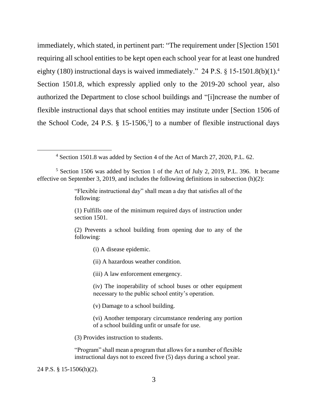immediately, which stated, in pertinent part: "The requirement under [S]ection 1501 requiring all school entities to be kept open each school year for at least one hundred eighty (180) instructional days is waived immediately." 24 P.S.  $\S 15{\text -}1501.8(b)(1).4$ Section 1501.8, which expressly applied only to the 2019-20 school year, also authorized the Department to close school buildings and "[i]ncrease the number of flexible instructional days that school entities may institute under [Section 1506 of the School Code, 24 P.S. § 15-1506, 5 ] to a number of flexible instructional days

<sup>4</sup> Section 1501.8 was added by Section 4 of the Act of March 27, 2020, P.L. 62.

<sup>5</sup> Section 1506 was added by Section 1 of the Act of July 2, 2019, P.L. 396. It became effective on September 3, 2019, and includes the following definitions in subsection (h)(2):

> "Flexible instructional day" shall mean a day that satisfies all of the following:

> (1) Fulfills one of the minimum required days of instruction under section 1501.

> (2) Prevents a school building from opening due to any of the following:

> > (i) A disease epidemic.

(ii) A hazardous weather condition.

(iii) A law enforcement emergency.

(iv) The inoperability of school buses or other equipment necessary to the public school entity's operation.

(v) Damage to a school building.

(vi) Another temporary circumstance rendering any portion of a school building unfit or unsafe for use.

(3) Provides instruction to students.

"Program" shall mean a program that allows for a number of flexible instructional days not to exceed five (5) days during a school year.

24 P.S. § 15-1506(h)(2).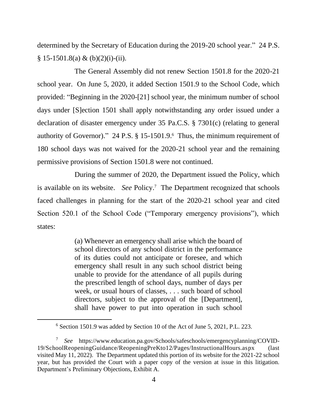determined by the Secretary of Education during the 2019-20 school year." 24 P.S.  $§ 15-1501.8(a) \& (b)(2)(i)-(ii).$ 

The General Assembly did not renew Section 1501.8 for the 2020-21 school year. On June 5, 2020, it added Section 1501.9 to the School Code, which provided: "Beginning in the 2020-[21] school year, the minimum number of school days under [S]ection 1501 shall apply notwithstanding any order issued under a declaration of disaster emergency under 35 Pa.C.S. § 7301(c) (relating to general authority of Governor)." 24 P.S. § 15-1501.9. 6 Thus, the minimum requirement of 180 school days was not waived for the 2020-21 school year and the remaining permissive provisions of Section 1501.8 were not continued.

During the summer of 2020, the Department issued the Policy, which is available on its website. *See* Policy.<sup>7</sup> The Department recognized that schools faced challenges in planning for the start of the 2020-21 school year and cited Section 520.1 of the School Code ("Temporary emergency provisions"), which states:

> (a) Whenever an emergency shall arise which the board of school directors of any school district in the performance of its duties could not anticipate or foresee, and which emergency shall result in any such school district being unable to provide for the attendance of all pupils during the prescribed length of school days, number of days per week, or usual hours of classes, . . . such board of school directors, subject to the approval of the [Department], shall have power to put into operation in such school

<sup>6</sup> Section 1501.9 was added by Section 10 of the Act of June 5, 2021, P.L. 223.

<sup>7</sup> *See* https://www.education.pa.gov/Schools/safeschools/emergencyplanning/COVID-19/SchoolReopeningGuidance/ReopeningPreKto12/Pages/InstructionalHours.aspx (last visited May 11, 2022). The Department updated this portion of its website for the 2021-22 school year, but has provided the Court with a paper copy of the version at issue in this litigation. Department's Preliminary Objections, Exhibit A.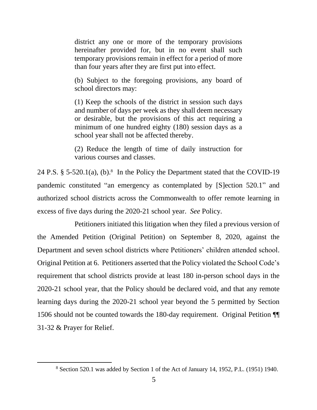district any one or more of the temporary provisions hereinafter provided for, but in no event shall such temporary provisions remain in effect for a period of more than four years after they are first put into effect.

(b) Subject to the foregoing provisions, any board of school directors may:

(1) Keep the schools of the district in session such days and number of days per week as they shall deem necessary or desirable, but the provisions of this act requiring a minimum of one hundred eighty (180) session days as a school year shall not be affected thereby.

(2) Reduce the length of time of daily instruction for various courses and classes.

24 P.S.  $\S$  5-520.1(a), (b).<sup>8</sup> In the Policy the Department stated that the COVID-19 pandemic constituted "an emergency as contemplated by [S]ection 520.1" and authorized school districts across the Commonwealth to offer remote learning in excess of five days during the 2020-21 school year. *See* Policy*.*

Petitioners initiated this litigation when they filed a previous version of the Amended Petition (Original Petition) on September 8, 2020, against the Department and seven school districts where Petitioners' children attended school. Original Petition at 6. Petitioners asserted that the Policy violated the School Code's requirement that school districts provide at least 180 in-person school days in the 2020-21 school year, that the Policy should be declared void, and that any remote learning days during the 2020-21 school year beyond the 5 permitted by Section 1506 should not be counted towards the 180-day requirement. Original Petition ¶¶ 31-32 & Prayer for Relief.

<sup>8</sup> Section 520.1 was added by Section 1 of the Act of January 14, 1952, P.L. (1951) 1940.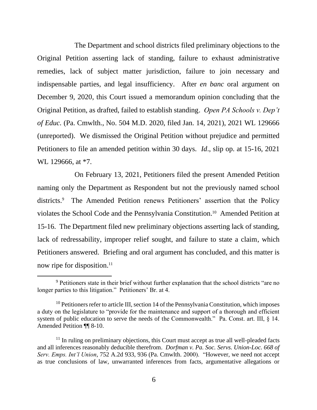The Department and school districts filed preliminary objections to the Original Petition asserting lack of standing, failure to exhaust administrative remedies, lack of subject matter jurisdiction, failure to join necessary and indispensable parties, and legal insufficiency. After *en banc* oral argument on December 9, 2020, this Court issued a memorandum opinion concluding that the Original Petition, as drafted, failed to establish standing. *Open PA Schools v. Dep't of Educ.* (Pa. Cmwlth., No. 504 M.D. 2020, filed Jan. 14, 2021), 2021 WL 129666 (unreported). We dismissed the Original Petition without prejudice and permitted Petitioners to file an amended petition within 30 days. *Id*., slip op. at 15-16, 2021 WL 129666, at  $*7$ .

On February 13, 2021, Petitioners filed the present Amended Petition naming only the Department as Respondent but not the previously named school districts.<sup>9</sup> The Amended Petition renews Petitioners' assertion that the Policy violates the School Code and the Pennsylvania Constitution. 10 Amended Petition at 15-16. The Department filed new preliminary objections asserting lack of standing, lack of redressability, improper relief sought, and failure to state a claim, which Petitioners answered. Briefing and oral argument has concluded, and this matter is now ripe for disposition.<sup>11</sup>

<sup>9</sup> Petitioners state in their brief without further explanation that the school districts "are no longer parties to this litigation." Petitioners' Br. at 4.

 $10$  Petitioners refer to article III, section 14 of the Pennsylvania Constitution, which imposes a duty on the legislature to "provide for the maintenance and support of a thorough and efficient system of public education to serve the needs of the Commonwealth." Pa. Const. art. III, § 14. Amended Petition ¶¶ 8-10.

 $11$  In ruling on preliminary objections, this Court must accept as true all well-pleaded facts and all inferences reasonably deducible therefrom. *Dorfman v. Pa. Soc. Servs. Union-Loc. 668 of Serv. Emps. Int'l Union*, 752 A.2d 933, 936 (Pa. Cmwlth. 2000). "However, we need not accept as true conclusions of law, unwarranted inferences from facts, argumentative allegations or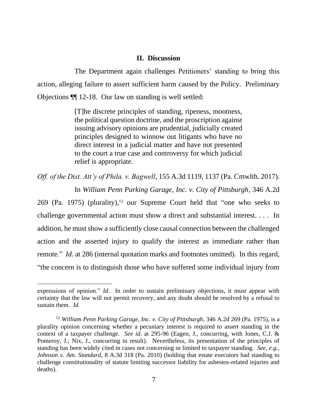#### **II. Discussion**

The Department again challenges Petitioners' standing to bring this action, alleging failure to assert sufficient harm caused by the Policy. Preliminary Objections ¶¶ 12-18. Our law on standing is well settled:

> [T]he discrete principles of standing, ripeness, mootness, the political question doctrine, and the proscription against issuing advisory opinions are prudential, judicially created principles designed to winnow out litigants who have no direct interest in a judicial matter and have not presented to the court a true case and controversy for which judicial relief is appropriate.

*Off. of the Dist. Att'y of Phila. v. Bagwell*, 155 A.3d 1119, 1137 (Pa. Cmwlth. 2017). In *William Penn Parking Garage, Inc. v. City of Pittsburgh*, 346 A.2d

269 (Pa. 1975) (plurality),<sup>12</sup> our Supreme Court held that "one who seeks to challenge governmental action must show a direct and substantial interest. . . . In addition, he must show a sufficiently close causal connection between the challenged action and the asserted injury to qualify the interest as immediate rather than remote." *Id.* at 286 (internal quotation marks and footnotes omitted). In this regard, "the concern is to distinguish those who have suffered some individual injury from

expressions of opinion." *Id*. In order to sustain preliminary objections, it must appear with certainty that the law will not permit recovery, and any doubt should be resolved by a refusal to sustain them. *Id*.

<sup>12</sup> *William Penn Parking Garage, Inc. v. City of Pittsburgh*, 346 A.2d 269 (Pa. 1975), is a plurality opinion concerning whether a pecuniary interest is required to assert standing in the context of a taxpayer challenge. *See id*. at 295-96 (Eagen, J., concurring, with Jones, C.J. & Pomeroy, J.; Nix, J., concurring in result). Nevertheless, its presentation of the principles of standing has been widely cited in cases not concerning or limited to taxpayer standing. *See, e.g.*, *Johnson v. Am. Standard*, 8 A.3d 318 (Pa. 2010) (holding that estate executors had standing to challenge constitutionality of statute limiting successor liability for asbestos-related injuries and deaths).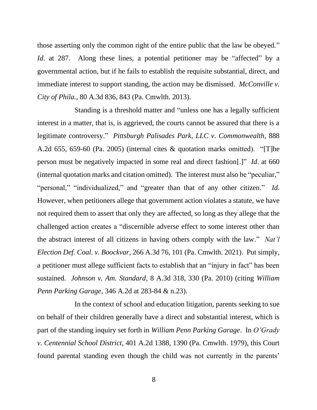those asserting only the common right of the entire public that the law be obeyed." *Id.* at 287. Along these lines, a potential petitioner may be "affected" by a governmental action, but if he fails to establish the requisite substantial, direct, and immediate interest to support standing, the action may be dismissed. *McConville v. City of Phila.*, 80 A.3d 836, 843 (Pa. Cmwlth. 2013).

Standing is a threshold matter and "unless one has a legally sufficient interest in a matter, that is, is aggrieved, the courts cannot be assured that there is a legitimate controversy." *Pittsburgh Palisades Park, LLC v. Commonwealth*, 888 A.2d 655, 659-60 (Pa. 2005) (internal cites & quotation marks omitted). "[T]he person must be negatively impacted in some real and direct fashion[.]" *Id*. at 660 (internal quotation marks and citation omitted). The interest must also be "peculiar," "personal," "individualized," and "greater than that of any other citizen." *Id*. However, when petitioners allege that government action violates a statute, we have not required them to assert that only they are affected, so long as they allege that the challenged action creates a "discernible adverse effect to some interest other than the abstract interest of all citizens in having others comply with the law." *Nat'l Election Def. Coal. v. Boockvar*, 266 A.3d 76, 101 (Pa. Cmwlth. 2021). Put simply, a petitioner must allege sufficient facts to establish that an "injury in fact" has been sustained. *Johnson v. Am. Standard*, 8 A.3d 318, 330 (Pa. 2010) (citing *William Penn Parking Garage*, 346 A.2d at 283-84 & n.23).

In the context of school and education litigation, parents seeking to sue on behalf of their children generally have a direct and substantial interest, which is part of the standing inquiry set forth in *William Penn Parking Garage*. In *O'Grady v. Centennial School District*, 401 A.2d 1388, 1390 (Pa. Cmwlth. 1979), this Court found parental standing even though the child was not currently in the parents'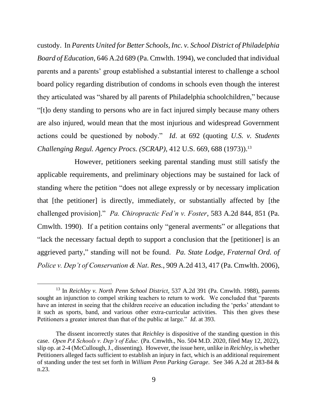custody. In *Parents United for Better Schools, Inc. v. School District of Philadelphia Board of Education*, 646 A.2d 689 (Pa. Cmwlth. 1994), we concluded that individual parents and a parents' group established a substantial interest to challenge a school board policy regarding distribution of condoms in schools even though the interest they articulated was "shared by all parents of Philadelphia schoolchildren," because "[t]o deny standing to persons who are in fact injured simply because many others are also injured, would mean that the most injurious and widespread Government actions could be questioned by nobody." *Id*. at 692 (quoting *U.S. v. Students Challenging Regul. Agency Procs. (SCRAP)*, 412 U.S. 669, 688 (1973)). 13

However, petitioners seeking parental standing must still satisfy the applicable requirements, and preliminary objections may be sustained for lack of standing where the petition "does not allege expressly or by necessary implication that [the petitioner] is directly, immediately, or substantially affected by [the challenged provision]." *Pa. Chiropractic Fed'n v. Foster*, 583 A.2d 844, 851 (Pa. Cmwlth. 1990). If a petition contains only "general averments" or allegations that "lack the necessary factual depth to support a conclusion that the [petitioner] is an aggrieved party," standing will not be found. *Pa. State Lodge, Fraternal Ord. of Police v. Dep't of Conservation & Nat. Res.*, 909 A.2d 413, 417 (Pa. Cmwlth. 2006),

<sup>13</sup> In *Reichley v. North Penn School District*, 537 A.2d 391 (Pa. Cmwlth. 1988), parents sought an injunction to compel striking teachers to return to work. We concluded that "parents have an interest in seeing that the children receive an education including the 'perks' attendant to it such as sports, band, and various other extra-curricular activities. This then gives these Petitioners a greater interest than that of the public at large." *Id*. at 393.

The dissent incorrectly states that *Reichley* is dispositive of the standing question in this case. *Open PA Schools v. Dep't of Educ.* (Pa. Cmwlth., No. 504 M.D. 2020, filed May 12, 2022), slip op. at 2-4 (McCullough, J., dissenting). However, the issue here, unlike in *Reichley*, is whether Petitioners alleged facts sufficient to establish an injury in fact, which is an additional requirement of standing under the test set forth in *William Penn Parking Garage*. See 346 A.2d at 283-84 & n.23.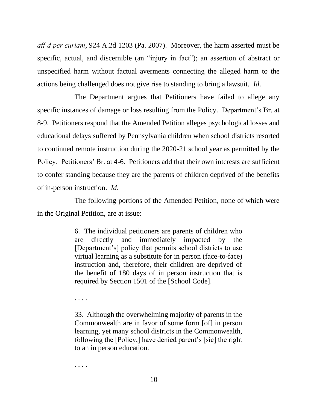*aff'd per curiam*, 924 A.2d 1203 (Pa. 2007). Moreover, the harm asserted must be specific, actual, and discernible (an "injury in fact"); an assertion of abstract or unspecified harm without factual averments connecting the alleged harm to the actions being challenged does not give rise to standing to bring a lawsuit. *Id*.

The Department argues that Petitioners have failed to allege any specific instances of damage or loss resulting from the Policy. Department's Br. at 8-9. Petitioners respond that the Amended Petition alleges psychological losses and educational delays suffered by Pennsylvania children when school districts resorted to continued remote instruction during the 2020-21 school year as permitted by the Policy. Petitioners' Br. at 4-6. Petitioners add that their own interests are sufficient to confer standing because they are the parents of children deprived of the benefits of in-person instruction. *Id*.

The following portions of the Amended Petition, none of which were in the Original Petition, are at issue:

> 6. The individual petitioners are parents of children who are directly and immediately impacted by the [Department's] policy that permits school districts to use virtual learning as a substitute for in person (face-to-face) instruction and, therefore, their children are deprived of the benefit of 180 days of in person instruction that is required by Section 1501 of the [School Code].

. . . .

33. Although the overwhelming majority of parents in the Commonwealth are in favor of some form [of] in person learning, yet many school districts in the Commonwealth, following the [Policy,] have denied parent's [sic] the right to an in person education.

. . . .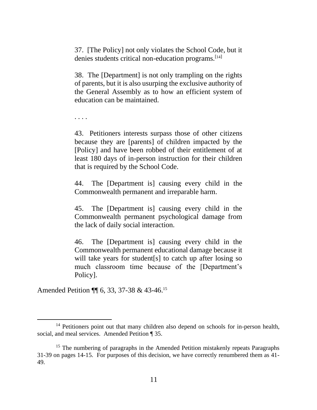37. [The Policy] not only violates the School Code, but it denies students critical non-education programs.<sup>[14]</sup>

38. The [Department] is not only trampling on the rights of parents, but it is also usurping the exclusive authority of the General Assembly as to how an efficient system of education can be maintained.

. . . .

43. Petitioners interests surpass those of other citizens because they are [parents] of children impacted by the [Policy] and have been robbed of their entitlement of at least 180 days of in-person instruction for their children that is required by the School Code.

44. The [Department is] causing every child in the Commonwealth permanent and irreparable harm.

45. The [Department is] causing every child in the Commonwealth permanent psychological damage from the lack of daily social interaction.

46. The [Department is] causing every child in the Commonwealth permanent educational damage because it will take years for student [s] to catch up after losing so much classroom time because of the [Department's Policy].

Amended Petition ¶ 6, 33, 37-38 & 43-46.<sup>15</sup>

<sup>&</sup>lt;sup>14</sup> Petitioners point out that many children also depend on schools for in-person health, social, and meal services. Amended Petition ¶ 35.

<sup>&</sup>lt;sup>15</sup> The numbering of paragraphs in the Amended Petition mistakenly repeats Paragraphs 31-39 on pages 14-15. For purposes of this decision, we have correctly renumbered them as 41- 49.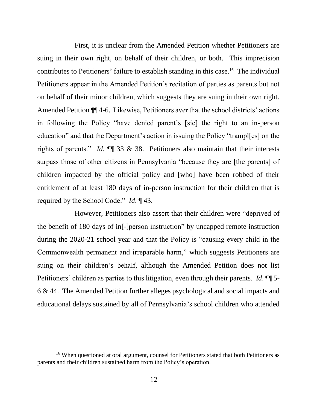First, it is unclear from the Amended Petition whether Petitioners are suing in their own right, on behalf of their children, or both. This imprecision contributes to Petitioners' failure to establish standing in this case.<sup>16</sup> The individual Petitioners appear in the Amended Petition's recitation of parties as parents but not on behalf of their minor children, which suggests they are suing in their own right. Amended Petition ¶¶ 4-6. Likewise, Petitioners aver that the school districts' actions in following the Policy "have denied parent's [sic] the right to an in-person education" and that the Department's action in issuing the Policy "trampl[es] on the rights of parents." *Id*. ¶¶ 33 & 38. Petitioners also maintain that their interests surpass those of other citizens in Pennsylvania "because they are [the parents] of children impacted by the official policy and [who] have been robbed of their entitlement of at least 180 days of in-person instruction for their children that is required by the School Code." *Id*. ¶ 43.

However, Petitioners also assert that their children were "deprived of the benefit of 180 days of in[-]person instruction" by uncapped remote instruction during the 2020-21 school year and that the Policy is "causing every child in the Commonwealth permanent and irreparable harm," which suggests Petitioners are suing on their children's behalf, although the Amended Petition does not list Petitioners' children as parties to this litigation, even through their parents. *Id*. ¶¶ 5- 6 & 44. The Amended Petition further alleges psychological and social impacts and educational delays sustained by all of Pennsylvania's school children who attended

<sup>&</sup>lt;sup>16</sup> When questioned at oral argument, counsel for Petitioners stated that both Petitioners as parents and their children sustained harm from the Policy's operation.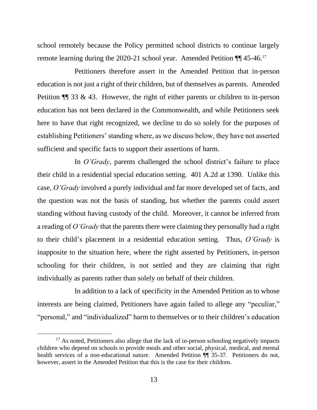school remotely because the Policy permitted school districts to continue largely remote learning during the 2020-21 school year. Amended Petition ¶ 45-46.<sup>17</sup>

Petitioners therefore assert in the Amended Petition that in-person education is not just a right of their children, but of themselves as parents. Amended Petition  $\P$  33 & 43. However, the right of either parents or children to in-person education has not been declared in the Commonwealth, and while Petitioners seek here to have that right recognized, we decline to do so solely for the purposes of establishing Petitioners' standing where, as we discuss below, they have not asserted sufficient and specific facts to support their assertions of harm.

In *O'Grady*, parents challenged the school district's failure to place their child in a residential special education setting. 401 A.2d at 1390. Unlike this case, *O'Grady* involved a purely individual and far more developed set of facts, and the question was not the basis of standing, but whether the parents could assert standing without having custody of the child. Moreover, it cannot be inferred from a reading of *O'Grady* that the parents there were claiming they personally had a right to their child's placement in a residential education setting. Thus, *O'Grady* is inapposite to the situation here, where the right asserted by Petitioners, in-person schooling for their children, is not settled and they are claiming that right individually as parents rather than solely on behalf of their children.

In addition to a lack of specificity in the Amended Petition as to whose interests are being claimed, Petitioners have again failed to allege any "peculiar," "personal," and "individualized" harm to themselves or to their children's education

 $17$  As noted, Petitioners also allege that the lack of in-person schooling negatively impacts children who depend on schools to provide meals and other social, physical, medical, and mental health services of a non-educational nature. Amended Petition  $\P$  35-37. Petitioners do not, however, assert in the Amended Petition that this is the case for their children.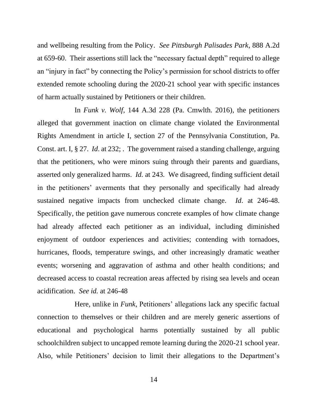and wellbeing resulting from the Policy. *See Pittsburgh Palisades Park*, 888 A.2d at 659-60. Their assertions still lack the "necessary factual depth" required to allege an "injury in fact" by connecting the Policy's permission for school districts to offer extended remote schooling during the 2020-21 school year with specific instances of harm actually sustained by Petitioners or their children.

In *Funk v. Wolf*, 144 A.3d 228 (Pa. Cmwlth. 2016), the petitioners alleged that government inaction on climate change violated the Environmental Rights Amendment in article I, section 27 of the Pennsylvania Constitution, Pa. Const. art. I, § 27. *Id*. at 232; . The government raised a standing challenge, arguing that the petitioners, who were minors suing through their parents and guardians, asserted only generalized harms. *Id.* at 243. We disagreed, finding sufficient detail in the petitioners' averments that they personally and specifically had already sustained negative impacts from unchecked climate change. *Id*. at 246-48. Specifically, the petition gave numerous concrete examples of how climate change had already affected each petitioner as an individual, including diminished enjoyment of outdoor experiences and activities; contending with tornadoes, hurricanes, floods, temperature swings, and other increasingly dramatic weather events; worsening and aggravation of asthma and other health conditions; and decreased access to coastal recreation areas affected by rising sea levels and ocean acidification. *See id.* at 246-48

Here, unlike in *Funk*, Petitioners' allegations lack any specific factual connection to themselves or their children and are merely generic assertions of educational and psychological harms potentially sustained by all public schoolchildren subject to uncapped remote learning during the 2020-21 school year. Also, while Petitioners' decision to limit their allegations to the Department's

14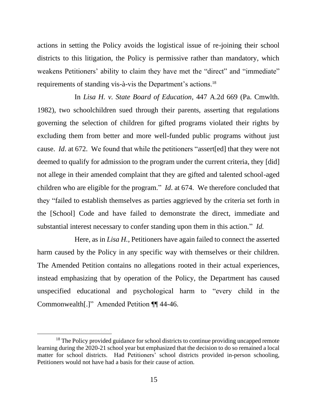actions in setting the Policy avoids the logistical issue of re-joining their school districts to this litigation, the Policy is permissive rather than mandatory, which weakens Petitioners' ability to claim they have met the "direct" and "immediate" requirements of standing vis-à-vis the Department's actions.<sup>18</sup>

In *Lisa H. v. State Board of Education*, 447 A.2d 669 (Pa. Cmwlth. 1982), two schoolchildren sued through their parents, asserting that regulations governing the selection of children for gifted programs violated their rights by excluding them from better and more well-funded public programs without just cause. *Id*. at 672. We found that while the petitioners "assert[ed] that they were not deemed to qualify for admission to the program under the current criteria, they [did] not allege in their amended complaint that they are gifted and talented school-aged children who are eligible for the program." *Id*. at 674. We therefore concluded that they "failed to establish themselves as parties aggrieved by the criteria set forth in the [School] Code and have failed to demonstrate the direct, immediate and substantial interest necessary to confer standing upon them in this action." *Id.*

Here, as in *Lisa H.*, Petitioners have again failed to connect the asserted harm caused by the Policy in any specific way with themselves or their children. The Amended Petition contains no allegations rooted in their actual experiences, instead emphasizing that by operation of the Policy, the Department has caused unspecified educational and psychological harm to "every child in the Commonwealth[.]" Amended Petition ¶¶ 44-46.

<sup>&</sup>lt;sup>18</sup> The Policy provided guidance for school districts to continue providing uncapped remote learning during the 2020-21 school year but emphasized that the decision to do so remained a local matter for school districts. Had Petitioners' school districts provided in-person schooling, Petitioners would not have had a basis for their cause of action.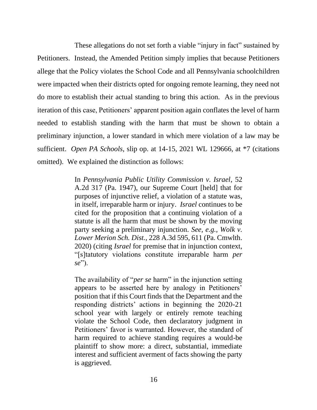These allegations do not set forth a viable "injury in fact" sustained by Petitioners. Instead, the Amended Petition simply implies that because Petitioners allege that the Policy violates the School Code and all Pennsylvania schoolchildren were impacted when their districts opted for ongoing remote learning, they need not do more to establish their actual standing to bring this action. As in the previous iteration of this case, Petitioners' apparent position again conflates the level of harm needed to establish standing with the harm that must be shown to obtain a preliminary injunction, a lower standard in which mere violation of a law may be sufficient. *Open PA Schools*, slip op. at 14-15, 2021 WL 129666, at \*7 (citations omitted). We explained the distinction as follows:

> In *Pennsylvania Public Utility Commission v. Israel*, 52 A.2d 317 (Pa. 1947), our Supreme Court [held] that for purposes of injunctive relief, a violation of a statute was, in itself, irreparable harm or injury. *Israel* continues to be cited for the proposition that a continuing violation of a statute is all the harm that must be shown by the moving party seeking a preliminary injunction. *See, e.g., Wolk v. Lower Merion Sch. Dist.*, 228 A.3d 595, 611 (Pa. Cmwlth. 2020) (citing *Israel* for premise that in injunction context, "[s]tatutory violations constitute irreparable harm *per se*").

> The availability of "*per se* harm" in the injunction setting appears to be asserted here by analogy in Petitioners' position that if this Court finds that the Department and the responding districts' actions in beginning the 2020-21 school year with largely or entirely remote teaching violate the School Code, then declaratory judgment in Petitioners' favor is warranted. However, the standard of harm required to achieve standing requires a would-be plaintiff to show more: a direct, substantial, immediate interest and sufficient averment of facts showing the party is aggrieved.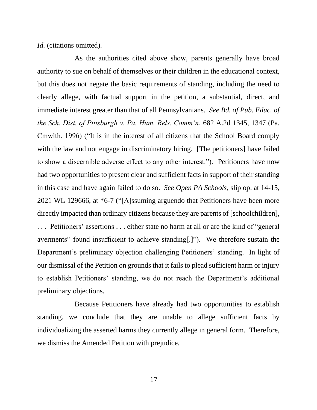*Id.* (citations omitted).

As the authorities cited above show, parents generally have broad authority to sue on behalf of themselves or their children in the educational context, but this does not negate the basic requirements of standing, including the need to clearly allege, with factual support in the petition, a substantial, direct, and immediate interest greater than that of all Pennsylvanians. *See Bd. of Pub. Educ. of the Sch. Dist. of Pittsburgh v. Pa. Hum. Rels. Comm'n*, 682 A.2d 1345, 1347 (Pa. Cmwlth. 1996) ("It is in the interest of all citizens that the School Board comply with the law and not engage in discriminatory hiring. [The petitioners] have failed to show a discernible adverse effect to any other interest."). Petitioners have now had two opportunities to present clear and sufficient facts in support of their standing in this case and have again failed to do so. *See Open PA Schools*, slip op. at 14-15, 2021 WL 129666, at \*6-7 ("[A]ssuming arguendo that Petitioners have been more directly impacted than ordinary citizens because they are parents of [schoolchildren], . . . Petitioners' assertions . . . either state no harm at all or are the kind of "general averments" found insufficient to achieve standing[.]"). We therefore sustain the Department's preliminary objection challenging Petitioners' standing. In light of our dismissal of the Petition on grounds that it fails to plead sufficient harm or injury to establish Petitioners' standing, we do not reach the Department's additional preliminary objections.

Because Petitioners have already had two opportunities to establish standing, we conclude that they are unable to allege sufficient facts by individualizing the asserted harms they currently allege in general form. Therefore, we dismiss the Amended Petition with prejudice.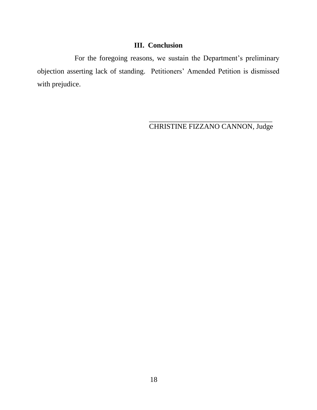# **III. Conclusion**

For the foregoing reasons, we sustain the Department's preliminary objection asserting lack of standing. Petitioners' Amended Petition is dismissed with prejudice.

> \_\_\_\_\_\_\_\_\_\_\_\_\_\_\_\_\_\_\_\_\_\_\_\_\_\_\_\_\_\_\_\_\_\_ CHRISTINE FIZZANO CANNON, Judge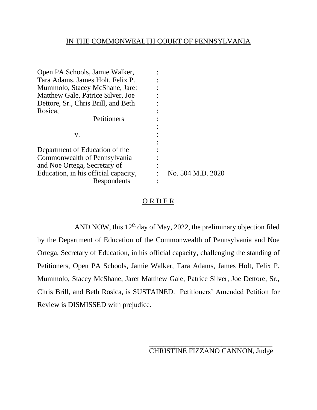# IN THE COMMONWEALTH COURT OF PENNSYLVANIA

| Open PA Schools, Jamie Walker,       |                   |
|--------------------------------------|-------------------|
| Tara Adams, James Holt, Felix P.     |                   |
| Mummolo, Stacey McShane, Jaret       |                   |
| Matthew Gale, Patrice Silver, Joe    |                   |
| Dettore, Sr., Chris Brill, and Beth  |                   |
| Rosica,                              |                   |
| Petitioners                          |                   |
|                                      |                   |
| v.                                   |                   |
|                                      |                   |
| Department of Education of the       |                   |
| Commonwealth of Pennsylvania         |                   |
| and Noe Ortega, Secretary of         |                   |
| Education, in his official capacity, | No. 504 M.D. 2020 |
| Respondents                          |                   |

## ORDER

AND NOW, this 12<sup>th</sup> day of May, 2022, the preliminary objection filed by the Department of Education of the Commonwealth of Pennsylvania and Noe Ortega, Secretary of Education, in his official capacity, challenging the standing of Petitioners, Open PA Schools, Jamie Walker, Tara Adams, James Holt, Felix P. Mummolo, Stacey McShane, Jaret Matthew Gale, Patrice Silver, Joe Dettore, Sr., Chris Brill, and Beth Rosica, is SUSTAINED. Petitioners' Amended Petition for Review is DISMISSED with prejudice.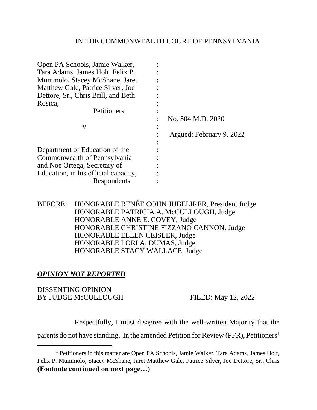## IN THE COMMONWEALTH COURT OF PENNSYLVANIA

| Open PA Schools, Jamie Walker,       |                          |
|--------------------------------------|--------------------------|
| Tara Adams, James Holt, Felix P.     |                          |
| Mummolo, Stacey McShane, Jaret       |                          |
| Matthew Gale, Patrice Silver, Joe    |                          |
| Dettore, Sr., Chris Brill, and Beth  |                          |
| Rosica,                              |                          |
| Petitioners                          |                          |
|                                      | No. 504 M.D. 2020        |
| V.                                   |                          |
|                                      | Argued: February 9, 2022 |
|                                      |                          |
| Department of Education of the       |                          |
| Commonwealth of Pennsylvania         |                          |
| and Noe Ortega, Secretary of         |                          |
| Education, in his official capacity, |                          |
| Respondents                          |                          |

BEFORE: HONORABLE RENÉE COHN JUBELIRER, President Judge HONORABLE PATRICIA A. McCULLOUGH, Judge HONORABLE ANNE E. COVEY, Judge HONORABLE CHRISTINE FIZZANO CANNON, Judge HONORABLE ELLEN CEISLER, Judge HONORABLE LORI A. DUMAS, Judge HONORABLE STACY WALLACE, Judge

# *OPINION NOT REPORTED*

## DISSENTING OPINION BY JUDGE McCULLOUGH FILED: May 12, 2022

Respectfully, I must disagree with the well-written Majority that the

parents do not have standing. In the amended Petition for Review (PFR), Petitioners<sup>1</sup>

<sup>&</sup>lt;sup>1</sup> Petitioners in this matter are Open PA Schools, Jamie Walker, Tara Adams, James Holt, Felix P. Mummolo, Stacey McShane, Jaret Matthew Gale, Patrice Silver, Joe Dettore, Sr., Chris **(Footnote continued on next page…)**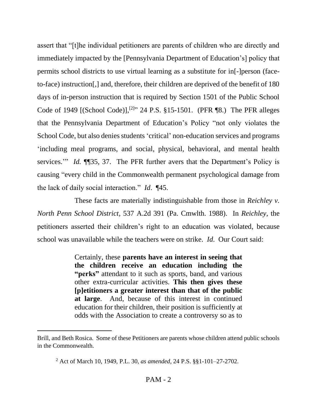assert that "[t]he individual petitioners are parents of children who are directly and immediately impacted by the [Pennsylvania Department of Education's] policy that permits school districts to use virtual learning as a substitute for in[-]person (faceto-face) instruction[,] and, therefore, their children are deprived of the benefit of 180 days of in-person instruction that is required by Section 1501 of the Public School Code of 1949 [(School Code)],<sup>[2]</sup>" 24 P.S. §15-1501. (PFR ¶8.) The PFR alleges that the Pennsylvania Department of Education's Policy "not only violates the School Code, but also denies students 'critical' non-education services and programs 'including meal programs, and social, physical, behavioral, and mental health services.'" *Id.* ¶[35, 37. The PFR further avers that the Department's Policy is causing "every child in the Commonwealth permanent psychological damage from the lack of daily social interaction." *Id*. ¶45.

These facts are materially indistinguishable from those in *Reichley v. North Penn School District*, 537 A.2d 391 (Pa. Cmwlth. 1988). In *Reichley*, the petitioners asserted their children's right to an education was violated, because school was unavailable while the teachers were on strike. *Id*. Our Court said:

> Certainly, these **parents have an interest in seeing that the children receive an education including the "perks"** attendant to it such as sports, band, and various other extra-curricular activities. **This then gives these [p]etitioners a greater interest than that of the public at large**. And, because of this interest in continued education for their children, their position is sufficiently at odds with the Association to create a controversy so as to

Brill, and Beth Rosica. Some of these Petitioners are parents whose children attend public schools in the Commonwealth.

<sup>2</sup> Act of March 10, 1949, P.L. 30, *as amended*, 24 P.S. §§1-101–27-2702.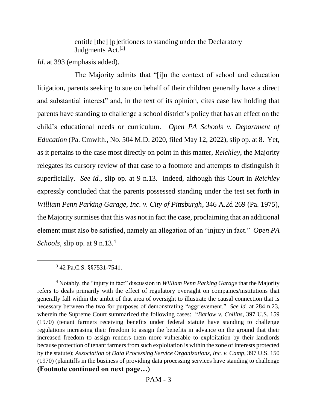entitle [the] [p]etitioners to standing under the Declaratory Judgments Act.<sup>[3]</sup>

*Id*. at 393 (emphasis added).

The Majority admits that "[i]n the context of school and education litigation, parents seeking to sue on behalf of their children generally have a direct and substantial interest" and, in the text of its opinion, cites case law holding that parents have standing to challenge a school district's policy that has an effect on the child's educational needs or curriculum. *Open PA Schools v. Department of Education* (Pa. Cmwlth., No. 504 M.D. 2020, filed May 12, 2022), slip op. at 8. Yet, as it pertains to the case most directly on point in this matter, *Reichley*, the Majority relegates its cursory review of that case to a footnote and attempts to distinguish it superficially. *See id.*, slip op. at 9 n.13. Indeed, although this Court in *Reichley*  expressly concluded that the parents possessed standing under the test set forth in *William Penn Parking Garage, Inc. v. City of Pittsburgh*, 346 A.2d 269 (Pa. 1975), the Majority surmises that this was not in fact the case, proclaiming that an additional element must also be satisfied, namely an allegation of an "injury in fact." *Open PA Schools*, slip op. at 9 n.13.<sup>4</sup>

3 42 Pa.C.S. §§7531-7541.

<sup>4</sup> Notably, the "injury in fact" discussion in *William Penn Parking Garage* that the Majority refers to deals primarily with the effect of regulatory oversight on companies/institutions that generally fall within the ambit of that area of oversight to illustrate the causal connection that is necessary between the two for purposes of demonstrating "aggrievement." *See id.* at 284 n.23, wherein the Supreme Court summarized the following cases: "*Barlow v. Collins*, 397 U.S. 159 (1970) (tenant farmers receiving benefits under federal statute have standing to challenge regulations increasing their freedom to assign the benefits in advance on the ground that their increased freedom to assign renders them more vulnerable to exploitation by their landlords because protection of tenant farmers from such exploitation is within the zone of interests protected by the statute); *Association of Data Processing Service Organizations, Inc. v. Camp*, 397 U.S. 150 (1970) (plaintiffs in the business of providing data processing services have standing to challenge **(Footnote continued on next page…)**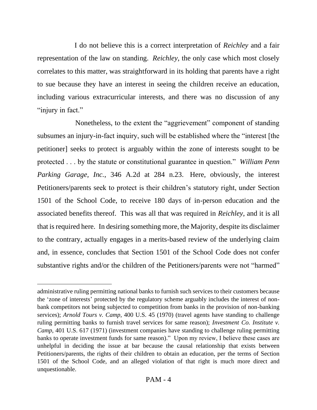I do not believe this is a correct interpretation of *Reichley* and a fair representation of the law on standing. *Reichley*, the only case which most closely correlates to this matter, was straightforward in its holding that parents have a right to sue because they have an interest in seeing the children receive an education, including various extracurricular interests, and there was no discussion of any "injury in fact."

 Nonetheless, to the extent the "aggrievement" component of standing subsumes an injury-in-fact inquiry, such will be established where the "interest [the petitioner] seeks to protect is arguably within the zone of interests sought to be protected . . . by the statute or constitutional guarantee in question." *William Penn Parking Garage, Inc.*, 346 A.2d at 284 n.23. Here, obviously, the interest Petitioners/parents seek to protect is their children's statutory right, under Section 1501 of the School Code, to receive 180 days of in-person education and the associated benefits thereof. This was all that was required in *Reichley*, and it is all that is required here. In desiring something more, the Majority, despite its disclaimer to the contrary, actually engages in a merits-based review of the underlying claim and, in essence, concludes that Section 1501 of the School Code does not confer substantive rights and/or the children of the Petitioners/parents were not "harmed"

administrative ruling permitting national banks to furnish such services to their customers because the 'zone of interests' protected by the regulatory scheme arguably includes the interest of nonbank competitors not being subjected to competition from banks in the provision of non-banking services); *Arnold Tours v. Camp*, 400 U.S. 45 (1970) (travel agents have standing to challenge ruling permitting banks to furnish travel services for same reason); *Investment Co. Institute v. Camp*, 401 U.S. 617 (1971) (investment companies have standing to challenge ruling permitting banks to operate investment funds for same reason)." Upon my review, I believe these cases are unhelpful in deciding the issue at bar because the causal relationship that exists between Petitioners/parents, the rights of their children to obtain an education, per the terms of Section 1501 of the School Code, and an alleged violation of that right is much more direct and unquestionable.